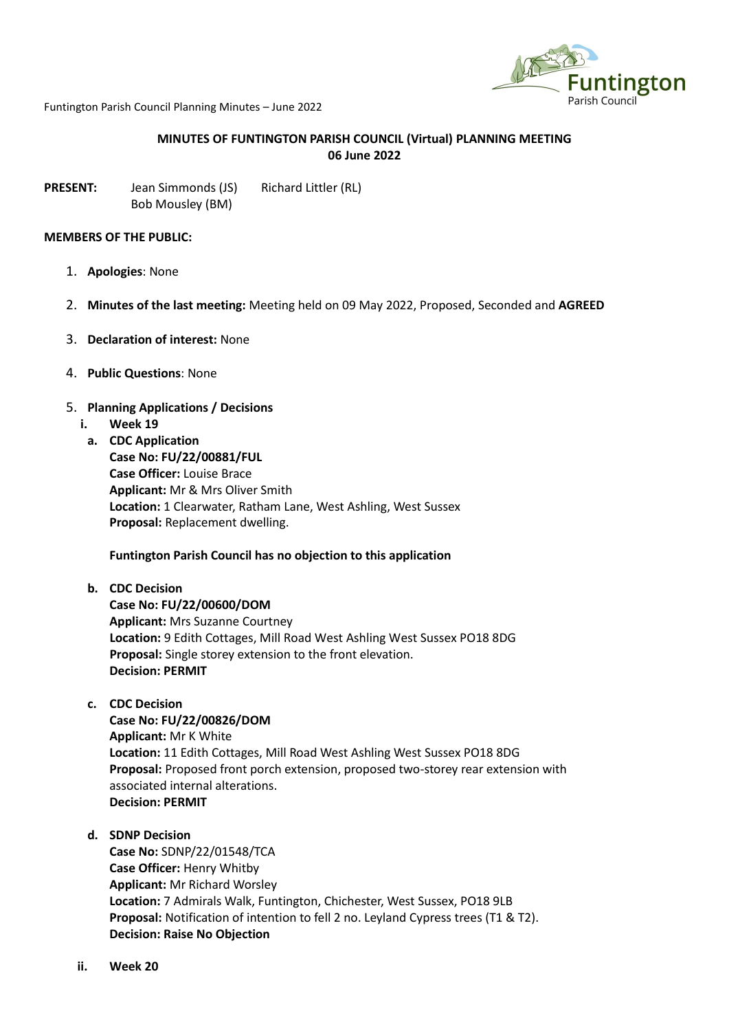

## **MINUTES OF FUNTINGTON PARISH COUNCIL (Virtual) PLANNING MEETING 06 June 2022**

**PRESENT:** Jean Simmonds (JS) Richard Littler (RL) Bob Mousley (BM)

#### **MEMBERS OF THE PUBLIC:**

- 1. **Apologies**: None
- 2. **Minutes of the last meeting:** Meeting held on 09 May 2022, Proposed, Seconded and **AGREED**
- 3. **Declaration of interest:** None
- 4. **Public Questions**: None
- 5. **Planning Applications / Decisions**
	- **i. Week 19**
		- **a. CDC Application**

**Case No: FU/22/00881/FUL Case Officer:** Louise Brace **Applicant:** Mr & Mrs Oliver Smith **Location:** 1 Clearwater, Ratham Lane, West Ashling, West Sussex **Proposal:** Replacement dwelling.

## **Funtington Parish Council has no objection to this application**

- **b. CDC Decision Case No: FU/22/00600/DOM Applicant:** Mrs Suzanne Courtney **Location:** 9 Edith Cottages, Mill Road West Ashling West Sussex PO18 8DG **Proposal:** Single storey extension to the front elevation. **Decision: PERMIT**
- **c. CDC Decision**

**Case No: FU/22/00826/DOM Applicant:** Mr K White **Location:** 11 Edith Cottages, Mill Road West Ashling West Sussex PO18 8DG **Proposal:** Proposed front porch extension, proposed two-storey rear extension with associated internal alterations. **Decision: PERMIT**

## **d. SDNP Decision**

**Case No:** SDNP/22/01548/TCA **Case Officer:** Henry Whitby **Applicant:** Mr Richard Worsley **Location:** 7 Admirals Walk, Funtington, Chichester, West Sussex, PO18 9LB **Proposal:** Notification of intention to fell 2 no. Leyland Cypress trees (T1 & T2). **Decision: Raise No Objection**

**ii. Week 20**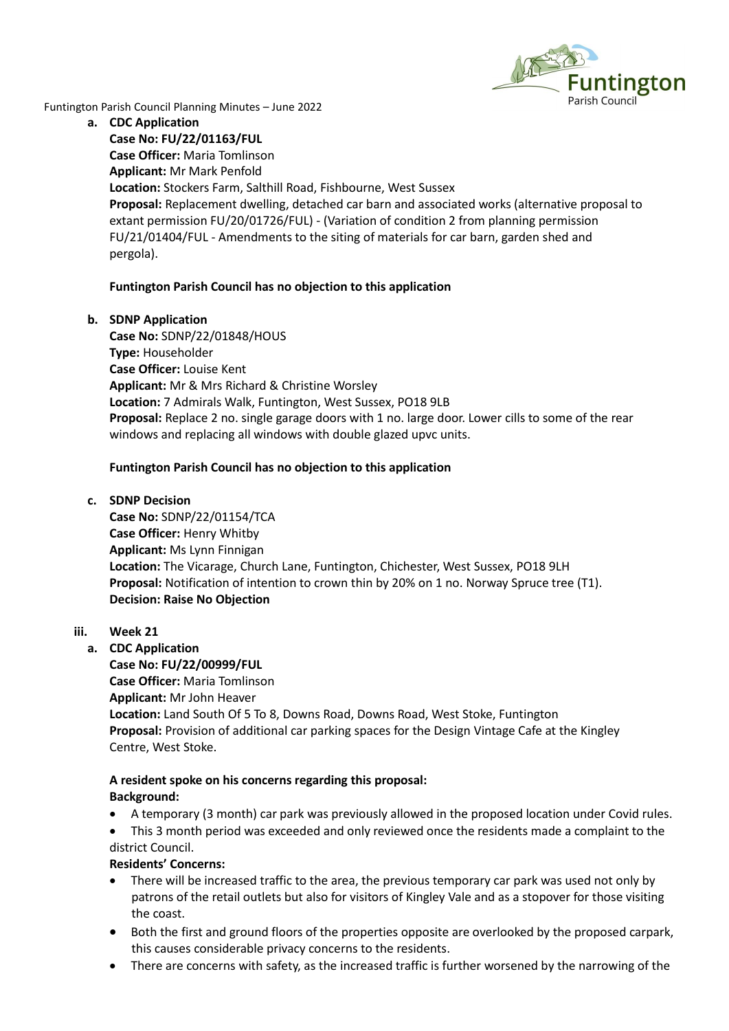

**a. CDC Application Case No: FU/22/01163/FUL Case Officer:** Maria Tomlinson **Applicant:** Mr Mark Penfold **Location:** Stockers Farm, Salthill Road, Fishbourne, West Sussex **Proposal:** Replacement dwelling, detached car barn and associated works (alternative proposal to extant permission FU/20/01726/FUL) - (Variation of condition 2 from planning permission FU/21/01404/FUL - Amendments to the siting of materials for car barn, garden shed and pergola).

## **Funtington Parish Council has no objection to this application**

## **b. SDNP Application**

**Case No:** SDNP/22/01848/HOUS **Type:** Householder **Case Officer:** Louise Kent **Applicant:** Mr & Mrs Richard & Christine Worsley **Location:** 7 Admirals Walk, Funtington, West Sussex, PO18 9LB **Proposal:** Replace 2 no. single garage doors with 1 no. large door. Lower cills to some of the rear windows and replacing all windows with double glazed upvc units.

## **Funtington Parish Council has no objection to this application**

#### **c. SDNP Decision**

**Case No:** SDNP/22/01154/TCA **Case Officer:** Henry Whitby **Applicant:** Ms Lynn Finnigan **Location:** The Vicarage, Church Lane, Funtington, Chichester, West Sussex, PO18 9LH **Proposal:** Notification of intention to crown thin by 20% on 1 no. Norway Spruce tree (T1). **Decision: Raise No Objection**

## **iii. Week 21**

**a. CDC Application**

**Case No: FU/22/00999/FUL Case Officer:** Maria Tomlinson **Applicant:** Mr John Heaver **Location:** Land South Of 5 To 8, Downs Road, Downs Road, West Stoke, Funtington **Proposal:** Provision of additional car parking spaces for the Design Vintage Cafe at the Kingley Centre, West Stoke.

## **A resident spoke on his concerns regarding this proposal: Background:**

- A temporary (3 month) car park was previously allowed in the proposed location under Covid rules.
- This 3 month period was exceeded and only reviewed once the residents made a complaint to the district Council.

# **Residents' Concerns:**

- There will be increased traffic to the area, the previous temporary car park was used not only by patrons of the retail outlets but also for visitors of Kingley Vale and as a stopover for those visiting the coast.
- Both the first and ground floors of the properties opposite are overlooked by the proposed carpark, this causes considerable privacy concerns to the residents.
- There are concerns with safety, as the increased traffic is further worsened by the narrowing of the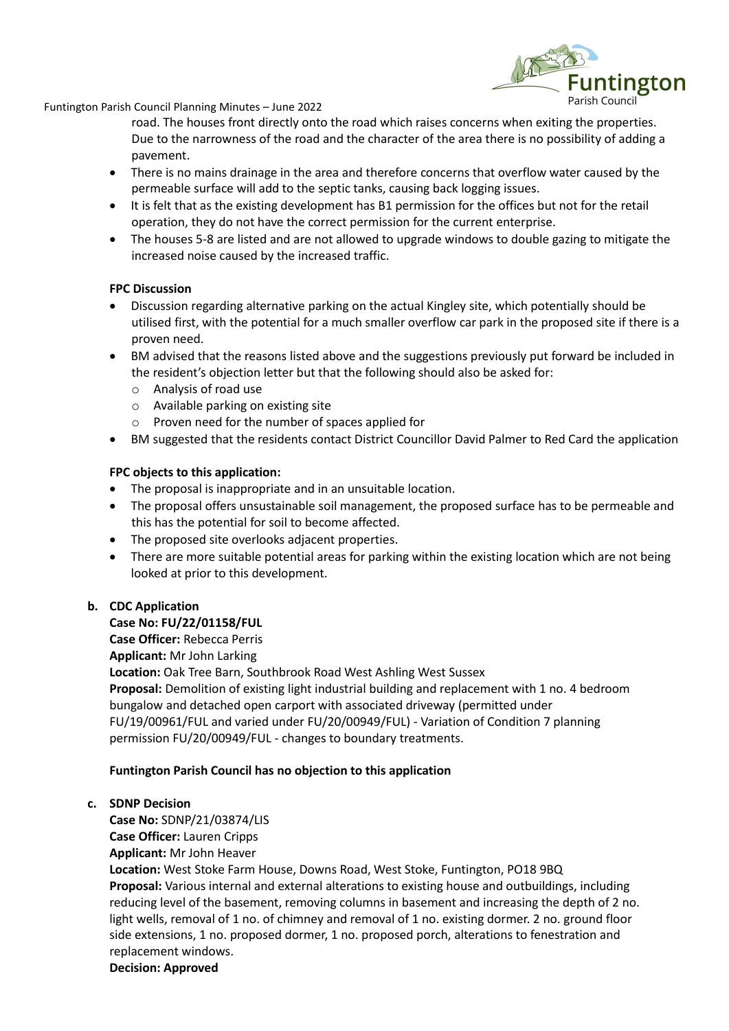

road. The houses front directly onto the road which raises concerns when exiting the properties. Due to the narrowness of the road and the character of the area there is no possibility of adding a pavement.

- There is no mains drainage in the area and therefore concerns that overflow water caused by the permeable surface will add to the septic tanks, causing back logging issues.
- It is felt that as the existing development has B1 permission for the offices but not for the retail operation, they do not have the correct permission for the current enterprise.
- The houses 5-8 are listed and are not allowed to upgrade windows to double gazing to mitigate the increased noise caused by the increased traffic.

## **FPC Discussion**

- Discussion regarding alternative parking on the actual Kingley site, which potentially should be utilised first, with the potential for a much smaller overflow car park in the proposed site if there is a proven need.
- BM advised that the reasons listed above and the suggestions previously put forward be included in the resident's objection letter but that the following should also be asked for:
	- o Analysis of road use
	- o Available parking on existing site
	- o Proven need for the number of spaces applied for
- BM suggested that the residents contact District Councillor David Palmer to Red Card the application

## **FPC objects to this application:**

- The proposal is inappropriate and in an unsuitable location.
- The proposal offers unsustainable soil management, the proposed surface has to be permeable and this has the potential for soil to become affected.
- The proposed site overlooks adjacent properties.
- There are more suitable potential areas for parking within the existing location which are not being looked at prior to this development.

## **b. CDC Application**

# **Case No: FU/22/01158/FUL**

**Case Officer:** Rebecca Perris

**Applicant:** Mr John Larking

**Location:** Oak Tree Barn, Southbrook Road West Ashling West Sussex

**Proposal:** Demolition of existing light industrial building and replacement with 1 no. 4 bedroom bungalow and detached open carport with associated driveway (permitted under FU/19/00961/FUL and varied under FU/20/00949/FUL) - Variation of Condition 7 planning permission FU/20/00949/FUL - changes to boundary treatments.

## **Funtington Parish Council has no objection to this application**

## **c. SDNP Decision**

**Case No:** SDNP/21/03874/LIS

**Case Officer:** Lauren Cripps

**Applicant:** Mr John Heaver

**Location:** West Stoke Farm House, Downs Road, West Stoke, Funtington, PO18 9BQ **Proposal:** Various internal and external alterations to existing house and outbuildings, including reducing level of the basement, removing columns in basement and increasing the depth of 2 no. light wells, removal of 1 no. of chimney and removal of 1 no. existing dormer. 2 no. ground floor side extensions, 1 no. proposed dormer, 1 no. proposed porch, alterations to fenestration and replacement windows.

**Decision: Approved**